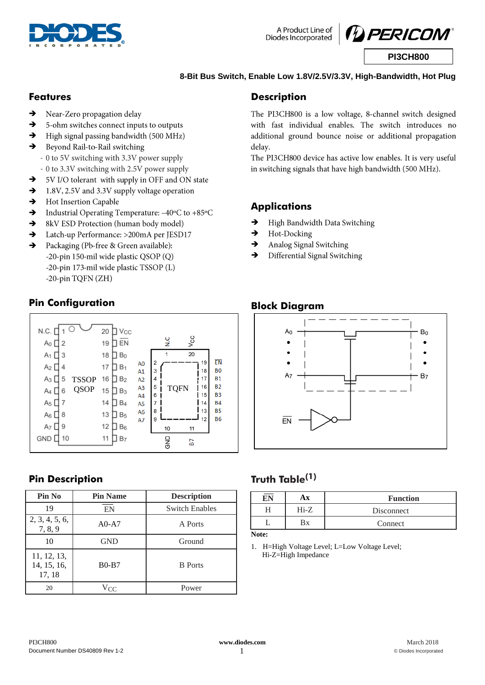



### **8-Bit Bus Switch, Enable Low 1.8V/2.5V/3.3V, High-Bandwidth, Hot Plug**

### **Features**

- Near-Zero propagation delay  $\rightarrow$
- $\rightarrow$ 5-ohm switches connect inputs to outputs
- High signal passing bandwidth (500 MHz)  $\rightarrow$
- Beyond Rail-to-Rail switching  $\rightarrow$ 
	- 0 to 5V switching with 3.3V power supply
- 0 to 3.3V switching with 2.5V power supply
- 5V I/O tolerant with supply in OFF and ON state →
- $\rightarrow$ 1.8V, 2.5V and 3.3V supply voltage operation
- Hot Insertion Capable  $\rightarrow$
- $\rightarrow$ Industrial Operating Temperature: -40°C to +85°C
- 8kV ESD Protection (human body model)  $\rightarrow$
- Latch-up Performance: >200mA per JESD17  $\rightarrow$
- Packaging (Pb-free & Green available):  $\rightarrow$ -20-pin 150-mil wide plastic QSOP (Q) -20-pin 173-mil wide plastic TSSOP (L) -20-pin TQFN (ZH)

## **Pin Configuration**



## **Pin Description**

| Pin No                               | <b>Pin Name</b> | <b>Description</b>    |
|--------------------------------------|-----------------|-----------------------|
| 19                                   | EN              | <b>Switch Enables</b> |
| 2, 3, 4, 5, 6,<br>7, 8, 9            | $A0-A7$         | A Ports               |
| 10                                   | <b>GND</b>      | Ground                |
| 11, 12, 13,<br>14, 15, 16,<br>17, 18 | $B0-B7$         | <b>B</b> Ports        |
| 20                                   | Vcc             | Power                 |

## **Description**

The PI3CH800 is a low voltage, 8-channel switch designed with fast individual enables. The switch introduces no additional ground bounce noise or additional propagation delay.

The PI3CH800 device has active low enables. It is very useful in switching signals that have high bandwidth (500 MHz).

## **Applications**

- $\rightarrow$ High Bandwidth Data Switching
- Hot-Docking  $\rightarrow$
- $\rightarrow$ Analog Signal Switching
- $\rightarrow$ Differential Signal Switching

## **Block Diagram**



## **Truth Table(1)**

|           | ١¥   | <b>Function</b> |
|-----------|------|-----------------|
|           | Hi-Z | Disconnect      |
|           | Вx   | Connect         |
| <b>NT</b> |      |                 |

**Note:**

1. H=High Voltage Level; L=Low Voltage Level; Hi-Z=High Impedance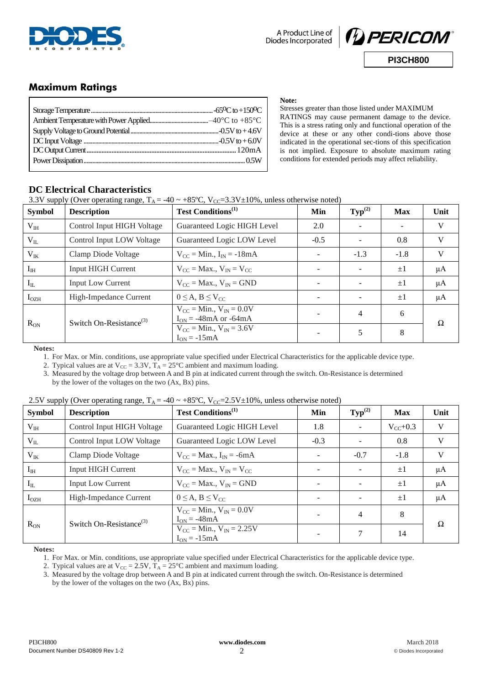![](_page_1_Picture_0.jpeg)

![](_page_1_Picture_2.jpeg)

## **Maximum Ratings**

**Note:**

Stresses greater than those listed under MAXIMUM RATINGS may cause permanent damage to the device. This is a stress rating only and functional operation of the device at these or any other condi-tions above those indicated in the operational sec-tions of this specification is not implied. Exposure to absolute maximum rating conditions for extended periods may affect reliability.

## **DC Electrical Characteristics**

3.3V supply (Over operating range,  $T_A = -40 \sim +85 \text{°C}$ ,  $V_{CC} = 3.3 \text{V} \pm 10\%$ , unless otherwise noted)

| <b>Symbol</b>    | <b>Description</b>                  | <b>Test Conditions</b> <sup>(1)</sup>                                         | Min                      | $\text{Typ}^{(2)}$ | <b>Max</b> | Unit    |
|------------------|-------------------------------------|-------------------------------------------------------------------------------|--------------------------|--------------------|------------|---------|
| $V_{III}$        | Control Input HIGH Voltage          | Guaranteed Logic HIGH Level                                                   | 2.0                      |                    |            | V       |
| $V_{IL}$         | Control Input LOW Voltage           | Guaranteed Logic LOW Level                                                    | $-0.5$                   |                    | 0.8        | V       |
| $V_{IK}$         | Clamp Diode Voltage                 | $V_{CC}$ = Min., $I_{IN}$ = -18mA                                             |                          | $-1.3$             | $-1.8$     | V       |
| $I_{IH}$         | <b>Input HIGH Current</b>           | $V_{CC}$ = Max., $V_{IN}$ = $V_{CC}$                                          | $\overline{\phantom{a}}$ |                    | $\pm 1$    | $\mu A$ |
| $I_{IL}$         | <b>Input Low Current</b>            | $V_{CC}$ = Max., $V_{IN}$ = GND                                               | <b>1999</b>              |                    | $\pm 1$    | $\mu A$ |
| I <sub>OZH</sub> | High-Impedance Current              | $0 \leq A, B \leq V_{CC}$                                                     |                          |                    | $+1$       | μA      |
|                  | Switch On-Resistance <sup>(3)</sup> | $V_{CC} = Min., V_{IN} = 0.0V$<br>$I_{ON} = -48 \text{mA}$ or $-64 \text{mA}$ |                          | 4                  | 6          | Ω       |
| $R_{ON}$         |                                     | $V_{CC} = Min., V_{IN} = 3.6V$<br>$I_{ON} = -15mA$                            |                          | 5                  | 8          |         |

**Notes:**

1. For Max. or Min. conditions, use appropriate value specified under Electrical Characteristics for the applicable device type.

2. Typical values are at  $V_{CC} = 3.3V$ ,  $T_A = 25^{\circ}C$  ambient and maximum loading.

3. Measured by the voltage drop between A and B pin at indicated current through the switch. On-Resistance is determined by the lower of the voltages on the two  $(Ax, Bx)$  pins.

#### 2.5V supply (Over operating range,  $T_A = -40 \approx +85 \text{ °C}$ ,  $V_{CC} = 2.5 \text{ V} \pm 10 \text{ %}$ , unless otherwise noted)

| <b>Symbol</b>    | <b>Description</b>                  | <b>Test Conditions</b> <sup>(1)</sup>               | Min                      | $\text{Typ}^{(2)}$ | <b>Max</b>    | Unit    |
|------------------|-------------------------------------|-----------------------------------------------------|--------------------------|--------------------|---------------|---------|
| $V_{IH}$         | Control Input HIGH Voltage          | Guaranteed Logic HIGH Level                         | 1.8                      |                    | $V_{CC}$ +0.3 | V       |
| $V_{IL}$         | Control Input LOW Voltage           | Guaranteed Logic LOW Level                          | $-0.3$                   |                    | 0.8           | V       |
| $V_{IK}$         | Clamp Diode Voltage                 | $V_{CC}$ = Max., $I_{IN}$ = -6mA                    |                          | $-0.7$             | $-1.8$        | V       |
| $I_{\text{IH}}$  | <b>Input HIGH Current</b>           | $V_{\rm CC}$ = Max., $V_{\rm IN}$ = V <sub>CC</sub> | $\overline{\phantom{0}}$ |                    | $\pm 1$       | $\mu A$ |
| $I_{IL}$         | <b>Input Low Current</b>            | $V_{CC}$ = Max., $V_{IN}$ = GND                     | $\overline{\phantom{0}}$ |                    | $\pm 1$       | $\mu A$ |
| I <sub>OZH</sub> | High-Impedance Current              | $0 \leq A, B \leq V_{CC}$                           | $\overline{\phantom{0}}$ |                    | $\pm 1$       | $\mu A$ |
|                  | Switch On-Resistance <sup>(3)</sup> | $V_{CC} = Min., V_{IN} = 0.0V$<br>$I_{ON} = -48mA$  | $\overline{\phantom{a}}$ | $\overline{4}$     | 8             | Ω       |
| $R_{ON}$         |                                     | $V_{CC} = Min., V_{IN} = 2.25V$<br>$I_{ON} = -15mA$ |                          | 7                  | 14            |         |

**Notes:**

1. For Max. or Min. conditions, use appropriate value specified under Electrical Characteristics for the applicable device type.

2. Typical values are at  $V_{CC} = 2.5V$ ,  $T_A = 25^{\circ}C$  ambient and maximum loading.

3. Measured by the voltage drop between A and B pin at indicated current through the switch. On-Resistance is determined by the lower of the voltages on the two (Ax, Bx) pins.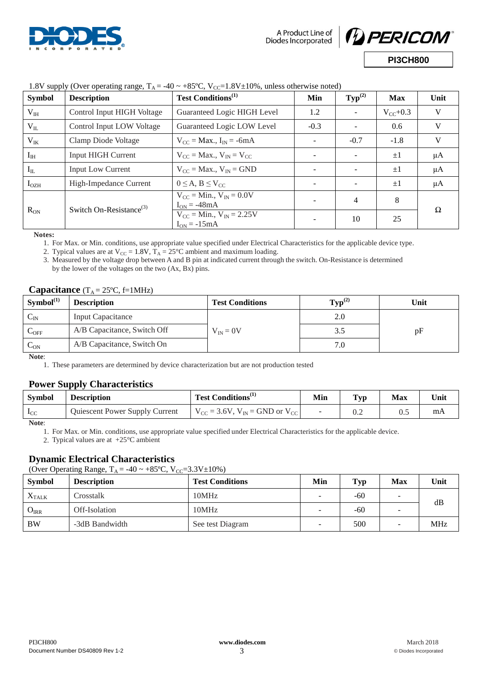![](_page_2_Picture_0.jpeg)

![](_page_2_Picture_2.jpeg)

| <b>Symbol</b>    | <b>Description</b>                  | <b>Test Conditions</b> <sup>(1)</sup>                | Min    | $\text{Typ}^{(2)}$ | <b>Max</b>    | Unit    |
|------------------|-------------------------------------|------------------------------------------------------|--------|--------------------|---------------|---------|
| $V_{IH}$         | Control Input HIGH Voltage          | Guaranteed Logic HIGH Level                          | 1.2    |                    | $V_{cc}$ +0.3 | V       |
| $V_{IL}$         | Control Input LOW Voltage           | Guaranteed Logic LOW Level                           | $-0.3$ |                    | 0.6           | V       |
| $V_{IK}$         | Clamp Diode Voltage                 | $V_{CC}$ = Max., $I_{IN}$ = -6mA                     |        | $-0.7$             | $-1.8$        | V       |
| $I_{\rm IH}$     | <b>Input HIGH Current</b>           | $V_{CC}$ = Max., $V_{IN}$ = $V_{CC}$                 |        |                    | $\pm 1$       | $\mu A$ |
| $I_{IL}$         | <b>Input Low Current</b>            | $V_{CC}$ = Max., $V_{IN}$ = GND                      |        |                    | $\pm 1$       | $\mu A$ |
| I <sub>OZH</sub> | High-Impedance Current              | $0 \leq A, B \leq V_{CC}$                            |        |                    | $\pm 1$       | μA      |
| $R_{ON}$         | Switch On-Resistance <sup>(3)</sup> | $V_{CC}$ = Min., $V_{IN}$ = 0.0V<br>$I_{ON} = -48mA$ |        | $\overline{4}$     | 8             | Ω       |
|                  |                                     | $V_{CC} = Min., V_{IN} = 2.25V$<br>$I_{ON} = -15mA$  |        | 10                 | 25            |         |

### 1.8V supply (Over operating range,  $T_A = -40 \approx +85$ °C,  $V_{C} = 1.8V + 10\%$ , unless otherwise noted)

**Notes:**

1. For Max. or Min. conditions, use appropriate value specified under Electrical Characteristics for the applicable device type.

2. Typical values are at  $V_{CC} = 1.8V$ ,  $T_A = 25^{\circ}C$  ambient and maximum loading.

3. Measured by the voltage drop between A and B pin at indicated current through the switch. On-Resistance is determined by the lower of the voltages on the two (Ax, Bx) pins.

### **Capacitance**  $(T_A = 25 \text{°C}, f=1 \text{MHz})$

| $Symbol^{(1)}$             | <b>Description</b>          | <b>Test Conditions</b> | $\text{Typ}^{(2)}$ | Unit |
|----------------------------|-----------------------------|------------------------|--------------------|------|
| $\mathsf{C}_{\mathsf{IN}}$ | <b>Input Capacitance</b>    |                        | 2.0                |      |
| C <sub>OFF</sub>           | A/B Capacitance, Switch Off | $V_{IN} = 0V$          | 3.5                | pF   |
| $\mathsf{c}_{\mathtt{ON}}$ | A/B Capacitance, Switch On  |                        | 7.0                |      |

**Note**:

1. These parameters are determined by device characterization but are not production tested

### **Power Supply Characteristics**

| Symbol       | <b>Description</b>             | Test Conditions <sup>(1)</sup>              | Min | $\mathbf{Typ}$ | Max | Unit |
|--------------|--------------------------------|---------------------------------------------|-----|----------------|-----|------|
| $_{\rm{LC}}$ | Quiescent Power Supply Current | $V_{CC}$ = 3.6V, $V_{IN}$ = GND or $V_{CC}$ |     | ∪.∠            | U.J | mΑ   |

**Note**:

1. For Max. or Min. conditions, use appropriate value specified under Electrical Characteristics for the applicable device.

2. Typical values are at +25°C ambient

### **Dynamic Electrical Characteristics**

(Over Operating Range,  $T_A = -40 \sim +85^{\circ}C$ ,  $V_{CC} = 3.3V \pm 10\%$ )

| <b>Symbol</b>     | <b>Description</b> | <b>Test Conditions</b> | Min | Typ   | Max                      | Unit       |
|-------------------|--------------------|------------------------|-----|-------|--------------------------|------------|
| $X_{\text{TALK}}$ | Crosstalk          | 10MHz                  |     | $-60$ | -                        | dВ         |
| $\rm O_{\rm IRR}$ | Off-Isolation      | 10MHz                  | -   | $-60$ | $\overline{\phantom{a}}$ |            |
| <b>BW</b>         | -3dB Bandwidth     | See test Diagram       |     | 500   | $\overline{\phantom{0}}$ | <b>MHz</b> |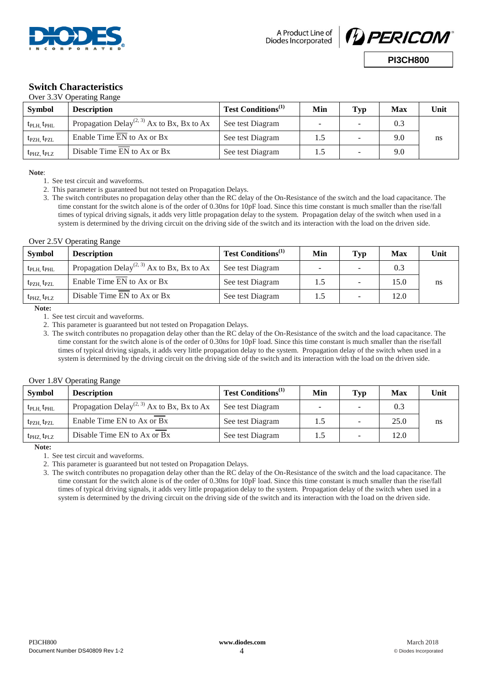![](_page_3_Picture_0.jpeg)

A Product Line of Diodes Incorporated

![](_page_3_Picture_2.jpeg)

**PI3CH800**

# **Switch Characteristics**

| Over 3.3V Operating Range           |                                                        |                                |     |                          |     |      |  |
|-------------------------------------|--------------------------------------------------------|--------------------------------|-----|--------------------------|-----|------|--|
| <b>Symbol</b>                       | <b>Description</b>                                     | Test Conditions <sup>(1)</sup> | Min | Typ                      | Max | Unit |  |
| $t_{\text{PLH}}$ , $t_{\text{PHL}}$ | Propagation Delay <sup>(2, 3)</sup> Ax to Bx, Bx to Ax | See test Diagram               |     |                          | 0.3 |      |  |
| $t_{\rm PZH}$ , $t_{\rm PZL}$       | Enable Time $\overline{EN}$ to Ax or Bx                | See test Diagram               | 1.5 | $\blacksquare$           | 9.0 | ns   |  |
| $t_{\rm PHZ}$ , $t_{\rm P LZ}$      | Disable Time EN to Ax or Bx                            | See test Diagram               |     | $\overline{\phantom{a}}$ | 9.0 |      |  |

**Note**:

- 1. See test circuit and waveforms.
- 2. This parameter is guaranteed but not tested on Propagation Delays.
- 3. The switch contributes no propagation delay other than the RC delay of the On-Resistance of the switch and the load capacitance. The time constant for the switch alone is of the order of 0.30ns for 10pF load. Since this time constant is much smaller than the rise/fall times of typical driving signals, it adds very little propagation delay to the system. Propagation delay of the switch when used in a system is determined by the driving circuit on the driving side of the switch and its interaction with the load on the driven side.

#### Over 2.5V Operating Range

| Symbol                              | <b>Description</b>                                     | Test Conditions <sup>(1)</sup> | Min | Typ | Max  | Unit |
|-------------------------------------|--------------------------------------------------------|--------------------------------|-----|-----|------|------|
| $t_{\rm PLH}$ , $t_{\rm PHL}$       | Propagation Delay <sup>(2, 3)</sup> Ax to Bx, Bx to Ax | See test Diagram               |     |     | 0.3  |      |
| $t_{\rm PZH}$ , $t_{\rm PZL}$       | Enable Time EN to Ax or Bx                             | See test Diagram               |     | -   | 15.0 | ns   |
| $t_{\text{PHZ}}$ , $t_{\text{PLZ}}$ | Disable Time EN to Ax or Bx                            | See test Diagram               |     |     | 12.0 |      |

**Note:** 

1. See test circuit and waveforms.

2. This parameter is guaranteed but not tested on Propagation Delays.

3. The switch contributes no propagation delay other than the RC delay of the On-Resistance of the switch and the load capacitance. The time constant for the switch alone is of the order of 0.30ns for 10pF load. Since this time constant is much smaller than the rise/fall times of typical driving signals, it adds very little propagation delay to the system. Propagation delay of the switch when used in a system is determined by the driving circuit on the driving side of the switch and its interaction with the load on the driven side.

#### Over 1.8V Operating Range

| Symbol                              | <b>Description</b>                                     | Test Conditions <sup>(1)</sup> | Min | Typ    | Max  | Unit |
|-------------------------------------|--------------------------------------------------------|--------------------------------|-----|--------|------|------|
| $t_{\text{PLH}}$ , $t_{\text{PHL}}$ | Propagation Delay <sup>(2, 3)</sup> Ax to Bx, Bx to Ax | See test Diagram               | -   |        | 0.3  |      |
| $t_{\text{PZH}}$ , $t_{\text{PZL}}$ | Enable Time EN to Ax or Bx                             | See test Diagram               |     |        | 25.0 | ns   |
| $t_{\rm PHZ}$ , $t_{\rm P LZ}$      | Disable Time EN to Ax or Bx                            | See test Diagram               |     | $\sim$ | 12.0 |      |

**Note:** 

1. See test circuit and waveforms.

2. This parameter is guaranteed but not tested on Propagation Delays.

3. The switch contributes no propagation delay other than the RC delay of the On-Resistance of the switch and the load capacitance. The time constant for the switch alone is of the order of 0.30ns for 10pF load. Since this time constant is much smaller than the rise/fall times of typical driving signals, it adds very little propagation delay to the system. Propagation delay of the switch when used in a system is determined by the driving circuit on the driving side of the switch and its interaction with the load on the driven side.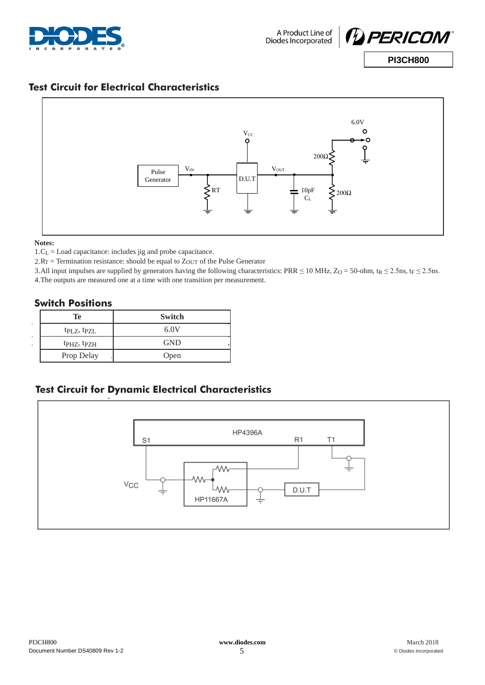![](_page_4_Picture_0.jpeg)

![](_page_4_Picture_2.jpeg)

## **Test Circuit for Electrical Characteristics**

![](_page_4_Figure_5.jpeg)

#### **Notes:**

1.CL = Load capacitance: includes jig and probe capacitance.

2.RT = Termination resistance: should be equal to ZOUT of the Pulse Generator

3.All input impulses are supplied by generators having the following characteristics: PRR  $\leq$  10 MHz, Z<sub>O</sub> = 50-ohm, t<sub>R</sub>  $\leq$  2.5ns, t<sub>F</sub>  $\leq$  2.5ns.

4.The outputs are measured one at a time with one transition per measurement.

### **Switch Positions**

|        | Te                                  | <b>Switch</b> |
|--------|-------------------------------------|---------------|
| ٠<br>٠ | tp <sub>L</sub> z, tp <sub>ZL</sub> | 6.0V          |
| ٠.     | t <sub>PHZ</sub> , t <sub>PZH</sub> | <b>GND</b>    |
|        | Prop Delay                          | Open          |

## **Test Circuit for Dynamic Electrical Characteristics**

![](_page_4_Figure_14.jpeg)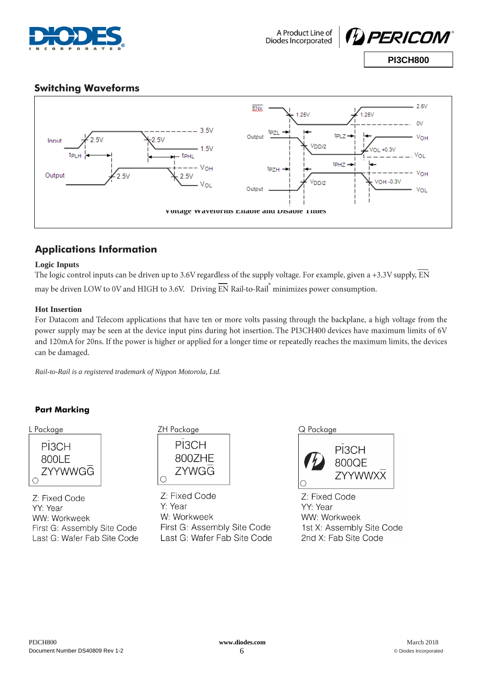![](_page_5_Picture_0.jpeg)

## **Switching Waveforms**

![](_page_5_Figure_4.jpeg)

## **Applications Information**

### **Logic Inputs**

The logic control inputs can be driven up to 3.6V regardless of the supply voltage. For example, given a +3.3V supply,  $\overline{EN}$ may be driven LOW to 0V and HIGH to 3.6V. Driving EN Rail-to-Rail minimizes power consumption.

### **Hot Insertion**

For Datacom and Telecom applications that have ten or more volts passing through the backplane, a high voltage from the power supply may be seen at the device input pins during hot insertion. The PI3CH400 devices have maximum limits of 6V and 120mA for 20ns. If the power is higher or applied for a longer time or repeatedly reaches the maximum limits, the devices can be damaged.

*Rail-to-Rail is a registered trademark of Nippon Motorola, Ltd.*

### **Part Marking**

![](_page_5_Picture_13.jpeg)

Z: Fixed Code YY: Year WW: Workweek First G: Assembly Site Code Last G: Wafer Fab Site Code

| L Package                 | ZH Package                      | Q Package     |  |
|---------------------------|---------------------------------|---------------|--|
| PI3CH<br>800LF<br>ZYYWWGG | PI3CH<br>800ZHE<br><b>ZYWGG</b> | $\mathcal{L}$ |  |

7: Fixed Code Y: Year W: Workweek First G: Assembly Site Code Last G: Wafer Fab Site Code

|  | Packaae |  |  |
|--|---------|--|--|
|  |         |  |  |
|  |         |  |  |

![](_page_5_Picture_18.jpeg)

Z: Fixed Code YY: Year WW: Workweek 1st X: Assembly Site Code 2nd X: Fab Site Code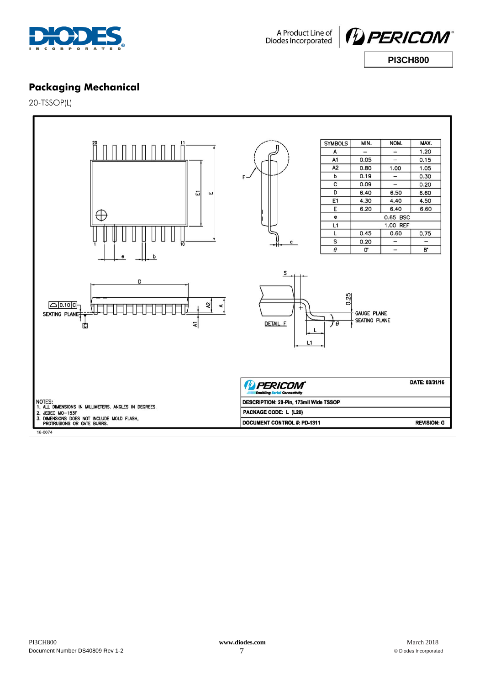![](_page_6_Picture_0.jpeg)

A Product Line of<br>Diodes Incorporated

![](_page_6_Picture_2.jpeg)

**Packaging Mechanical**

20-TSSOP(L)

![](_page_6_Figure_5.jpeg)

16-0074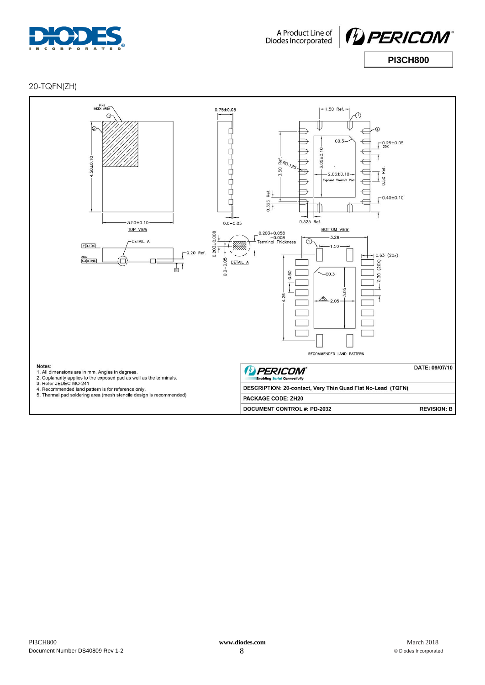![](_page_7_Picture_0.jpeg)

A Product Line of<br>Diodes Incorporated

![](_page_7_Picture_2.jpeg)

20-TQFN(ZH)

![](_page_7_Figure_4.jpeg)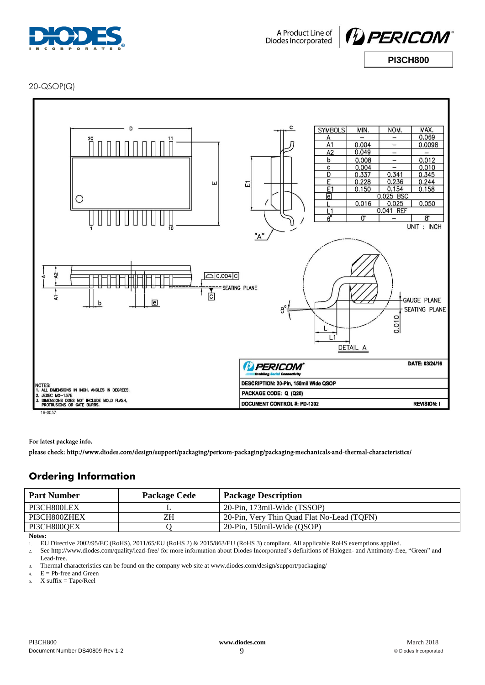![](_page_8_Picture_0.jpeg)

A Product Line of Diodes Incorporated

![](_page_8_Picture_2.jpeg)

**PI3CH800**

20-QSOP(Q)

![](_page_8_Figure_4.jpeg)

For latest package info.

please check: http://www.diodes.com/design/support/packaging/pericom-packaging/packaging-mechanicals-and-thermal-characteristics/

## **Ordering Information**

| <b>Part Number</b> | <b>Package Cede</b> | <b>Package Description</b>                 |
|--------------------|---------------------|--------------------------------------------|
| PI3CH800LEX        | ∸                   | 20-Pin, 173mil-Wide (TSSOP)                |
| PI3CH800ZHEX       | ZΗ                  | 20-Pin, Very Thin Quad Flat No-Lead (TOFN) |
| PI3CH800OEX        |                     | 20-Pin, 150mil-Wide (OSOP)                 |
|                    |                     |                                            |

**Notes:**

1. EU Directive 2002/95/EC (RoHS), 2011/65/EU (RoHS 2) & 2015/863/EU (RoHS 3) compliant. All applicable RoHS exemptions applied.

2. See [http://www.diodes.com/quality/lead-free/ fo](http://www.diodes.com/quality/lead-free/)r more information about Diodes Incorporated's definitions of Halogen- and Antimony-free, "Green" and

Lead-free.

3. Thermal characteristics can be found on the company web site at [www.diodes.com/design/support/packaging/](http://www.diodes.com/design/support/packaging/)

4.  $E = Pb$ -free and Green

5. X suffix = Tape/Reel